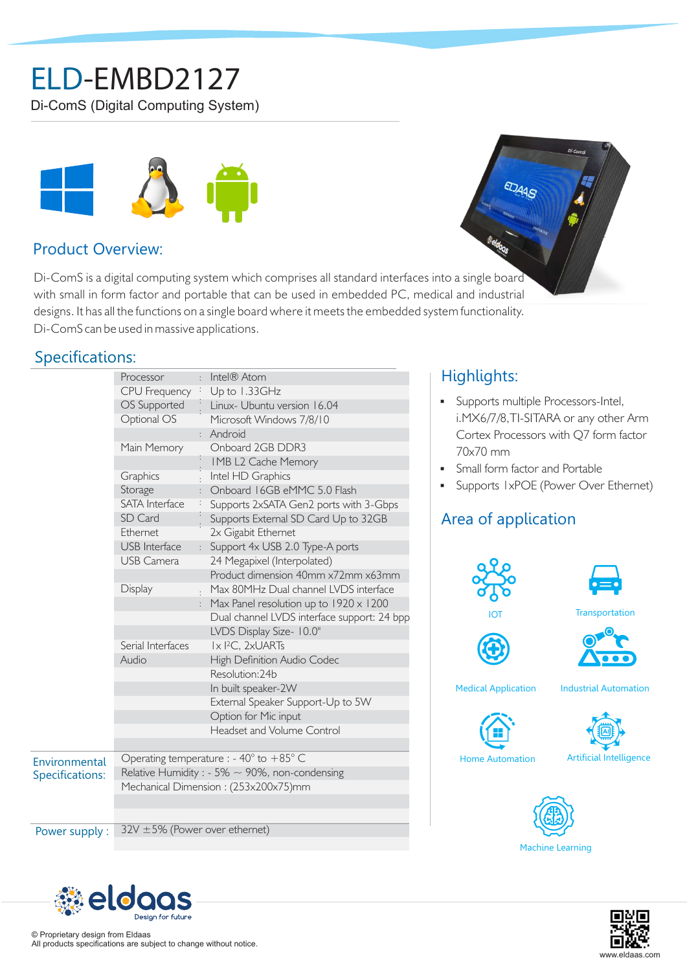# ELD-EMBD2127

Di-ComS (Digital Computing System)



### Product Overview:

Di-ComS is a digital computing system which comprises all standard interfaces into a single board with small in form factor and portable that can be used in embedded PC, medical and industrial designs. It has all the functions on a single board where it meets the embedded system functionality. Di-ComS can be used in massive applications.

### Specifications:

|                                  | Processor                                                 |  | : Intel® Atom                               |  |
|----------------------------------|-----------------------------------------------------------|--|---------------------------------------------|--|
|                                  | CPU Frequency : Up to 1.33GHz                             |  |                                             |  |
|                                  | OS Supported                                              |  | Linux- Ubuntu version 16.04                 |  |
|                                  | Optional OS                                               |  | Microsoft Windows 7/8/10                    |  |
|                                  |                                                           |  | : Android                                   |  |
|                                  | Main Memory                                               |  | Onboard 2GB DDR3                            |  |
|                                  |                                                           |  | IMB L2 Cache Memory                         |  |
|                                  | Graphics                                                  |  | Intel HD Graphics                           |  |
|                                  | Storage                                                   |  | Onboard 16GB eMMC 5.0 Flash                 |  |
|                                  | SATA Interface                                            |  | Supports 2xSATA Gen2 ports with 3-Gbps      |  |
|                                  | SD Card                                                   |  | Supports External SD Card Up to 32GB        |  |
|                                  | Ethernet                                                  |  | 2x Gigabit Ethernet                         |  |
|                                  | <b>USB</b> Interface                                      |  | Support 4x USB 2.0 Type-A ports             |  |
|                                  | <b>USB Camera</b>                                         |  | 24 Megapixel (Interpolated)                 |  |
|                                  |                                                           |  | Product dimension 40mm x72mm x63mm          |  |
|                                  | Display                                                   |  | Max 80MHz Dual channel LVDS interface       |  |
|                                  |                                                           |  | Max Panel resolution up to 1920 x 1200      |  |
|                                  |                                                           |  | Dual channel LVDS interface support: 24 bpp |  |
|                                  |                                                           |  | LVDS Display Size- 10.0"                    |  |
|                                  | Serial Interfaces                                         |  | Ix I <sup>2</sup> C, 2xUARTs                |  |
|                                  | Audio                                                     |  | High Definition Audio Codec                 |  |
|                                  |                                                           |  | Resolution: 24b                             |  |
|                                  |                                                           |  | In built speaker-2W                         |  |
|                                  |                                                           |  | External Speaker Support-Up to 5W           |  |
|                                  |                                                           |  | Option for Mic input                        |  |
|                                  |                                                           |  | Headset and Volume Control                  |  |
|                                  |                                                           |  |                                             |  |
| Environmental<br>Specifications: | Operating temperature : - $40^{\circ}$ to $+85^{\circ}$ C |  |                                             |  |
|                                  | Relative Humidity : - 5% $\sim$ 90%, non-condensing       |  |                                             |  |
|                                  | Mechanical Dimension: (253x200x75)mm                      |  |                                             |  |
|                                  |                                                           |  |                                             |  |
|                                  |                                                           |  |                                             |  |
| Power supply:                    | $32V \pm 5\%$ (Power over ethernet)                       |  |                                             |  |

# Highlights:

- § Supports multiple Processors-Intel, i.MX6/7/8,TI-SITARA or any other Arm Cortex Processors with Q7 form factor 70x70 mm
- § Small form factor and Portable

EDAAS

§ Supports 1xPOE (Power Over Ethernet)

## Area of application





www.eldaas.com